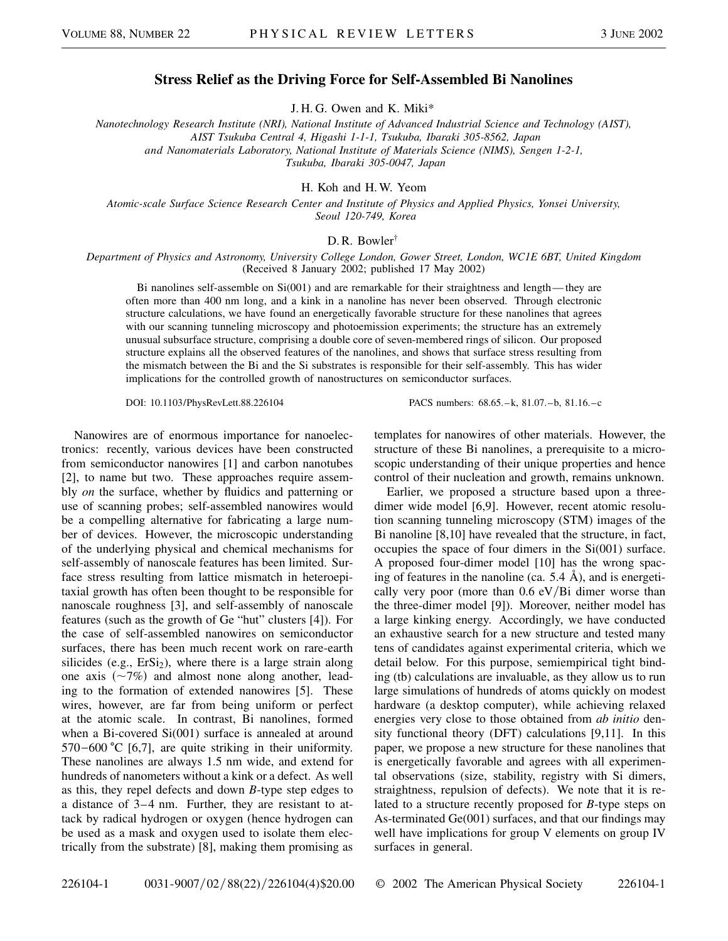## **Stress Relief as the Driving Force for Self-Assembled Bi Nanolines**

J. H. G. Owen and K. Miki\*

*Nanotechnology Research Institute (NRI), National Institute of Advanced Industrial Science and Technology (AIST), AIST Tsukuba Central 4, Higashi 1-1-1, Tsukuba, Ibaraki 305-8562, Japan and Nanomaterials Laboratory, National Institute of Materials Science (NIMS), Sengen 1-2-1, Tsukuba, Ibaraki 305-0047, Japan*

H. Koh and H. W. Yeom

*Atomic-scale Surface Science Research Center and Institute of Physics and Applied Physics, Yonsei University, Seoul 120-749, Korea*

## D. R. Bowler†

*Department of Physics and Astronomy, University College London, Gower Street, London, WC1E 6BT, United Kingdom* (Received 8 January 2002; published 17 May 2002)

Bi nanolines self-assemble on Si(001) and are remarkable for their straightness and length— they are often more than 400 nm long, and a kink in a nanoline has never been observed. Through electronic structure calculations, we have found an energetically favorable structure for these nanolines that agrees with our scanning tunneling microscopy and photoemission experiments; the structure has an extremely unusual subsurface structure, comprising a double core of seven-membered rings of silicon. Our proposed structure explains all the observed features of the nanolines, and shows that surface stress resulting from the mismatch between the Bi and the Si substrates is responsible for their self-assembly. This has wider implications for the controlled growth of nanostructures on semiconductor surfaces.

DOI: 10.1103/PhysRevLett.88.226104 PACS numbers: 68.65.–k, 81.07.–b, 81.16.–c

Nanowires are of enormous importance for nanoelectronics: recently, various devices have been constructed from semiconductor nanowires [1] and carbon nanotubes [2], to name but two. These approaches require assembly *on* the surface, whether by fluidics and patterning or use of scanning probes; self-assembled nanowires would be a compelling alternative for fabricating a large number of devices. However, the microscopic understanding of the underlying physical and chemical mechanisms for self-assembly of nanoscale features has been limited. Surface stress resulting from lattice mismatch in heteroepitaxial growth has often been thought to be responsible for nanoscale roughness [3], and self-assembly of nanoscale features (such as the growth of Ge "hut" clusters [4]). For the case of self-assembled nanowires on semiconductor surfaces, there has been much recent work on rare-earth silicides (e.g.,  $Ersi<sub>2</sub>$ ), where there is a large strain along one axis  $(\sim 7\%)$  and almost none along another, leading to the formation of extended nanowires [5]. These wires, however, are far from being uniform or perfect at the atomic scale. In contrast, Bi nanolines, formed when a Bi-covered Si(001) surface is annealed at around  $570 - 600$  °C [6,7], are quite striking in their uniformity. These nanolines are always 1.5 nm wide, and extend for hundreds of nanometers without a kink or a defect. As well as this, they repel defects and down *B*-type step edges to a distance of 3–4 nm. Further, they are resistant to attack by radical hydrogen or oxygen (hence hydrogen can be used as a mask and oxygen used to isolate them electrically from the substrate) [8], making them promising as

templates for nanowires of other materials. However, the structure of these Bi nanolines, a prerequisite to a microscopic understanding of their unique properties and hence control of their nucleation and growth, remains unknown.

Earlier, we proposed a structure based upon a threedimer wide model [6,9]. However, recent atomic resolution scanning tunneling microscopy (STM) images of the Bi nanoline [8,10] have revealed that the structure, in fact, occupies the space of four dimers in the Si(001) surface. A proposed four-dimer model [10] has the wrong spacing of features in the nanoline (ca. 5.4 Å), and is energetically very poor (more than  $0.6 \text{ eV/Bi}$  dimer worse than the three-dimer model [9]). Moreover, neither model has a large kinking energy. Accordingly, we have conducted an exhaustive search for a new structure and tested many tens of candidates against experimental criteria, which we detail below. For this purpose, semiempirical tight binding (tb) calculations are invaluable, as they allow us to run large simulations of hundreds of atoms quickly on modest hardware (a desktop computer), while achieving relaxed energies very close to those obtained from *ab initio* density functional theory (DFT) calculations [9,11]. In this paper, we propose a new structure for these nanolines that is energetically favorable and agrees with all experimental observations (size, stability, registry with Si dimers, straightness, repulsion of defects). We note that it is related to a structure recently proposed for *B*-type steps on As-terminated Ge(001) surfaces, and that our findings may well have implications for group V elements on group IV surfaces in general.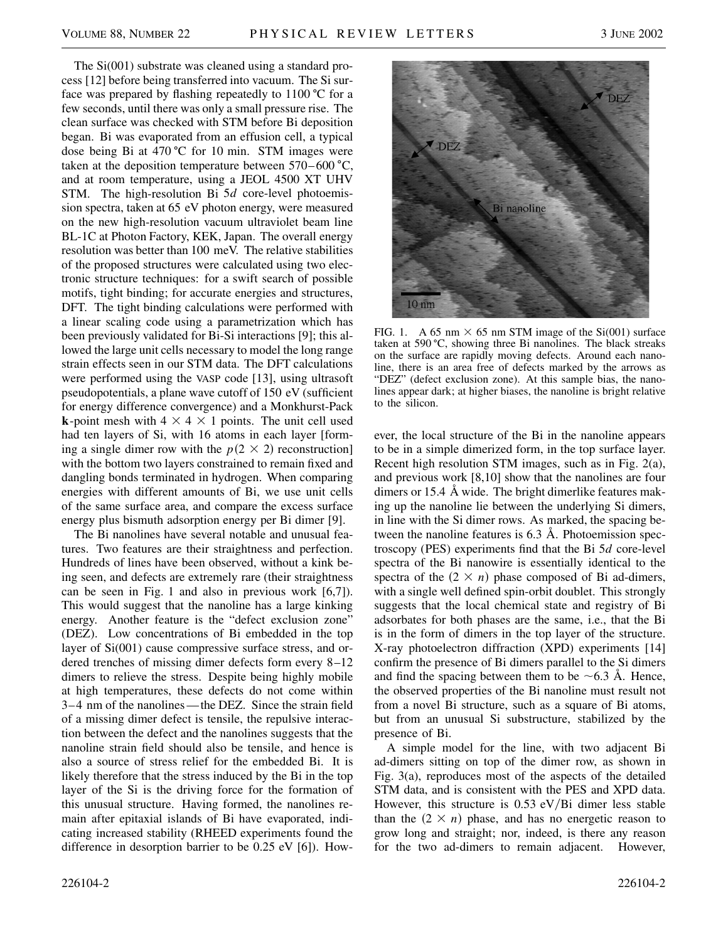The Si(001) substrate was cleaned using a standard process [12] before being transferred into vacuum. The Si surface was prepared by flashing repeatedly to  $1100 \degree C$  for a few seconds, until there was only a small pressure rise. The clean surface was checked with STM before Bi deposition began. Bi was evaporated from an effusion cell, a typical dose being Bi at  $470\degree C$  for 10 min. STM images were taken at the deposition temperature between  $570-600 \degree C$ , and at room temperature, using a JEOL 4500 XT UHV STM. The high-resolution Bi 5*d* core-level photoemission spectra, taken at 65 eV photon energy, were measured on the new high-resolution vacuum ultraviolet beam line BL-1C at Photon Factory, KEK, Japan. The overall energy resolution was better than 100 meV. The relative stabilities of the proposed structures were calculated using two electronic structure techniques: for a swift search of possible motifs, tight binding; for accurate energies and structures, DFT. The tight binding calculations were performed with a linear scaling code using a parametrization which has been previously validated for Bi-Si interactions [9]; this allowed the large unit cells necessary to model the long range strain effects seen in our STM data. The DFT calculations were performed using the VASP code [13], using ultrasoft pseudopotentials, a plane wave cutoff of 150 eV (sufficient for energy difference convergence) and a Monkhurst-Pack **k**-point mesh with  $4 \times 4 \times 1$  points. The unit cell used had ten layers of Si, with 16 atoms in each layer [forming a single dimer row with the  $p(2 \times 2)$  reconstruction] with the bottom two layers constrained to remain fixed and dangling bonds terminated in hydrogen. When comparing energies with different amounts of Bi, we use unit cells of the same surface area, and compare the excess surface energy plus bismuth adsorption energy per Bi dimer [9].

The Bi nanolines have several notable and unusual features. Two features are their straightness and perfection. Hundreds of lines have been observed, without a kink being seen, and defects are extremely rare (their straightness can be seen in Fig. 1 and also in previous work [6,7]). This would suggest that the nanoline has a large kinking energy. Another feature is the "defect exclusion zone" (DEZ). Low concentrations of Bi embedded in the top layer of Si(001) cause compressive surface stress, and ordered trenches of missing dimer defects form every 8–12 dimers to relieve the stress. Despite being highly mobile at high temperatures, these defects do not come within 3–4 nm of the nanolines—the DEZ. Since the strain field of a missing dimer defect is tensile, the repulsive interaction between the defect and the nanolines suggests that the nanoline strain field should also be tensile, and hence is also a source of stress relief for the embedded Bi. It is likely therefore that the stress induced by the Bi in the top layer of the Si is the driving force for the formation of this unusual structure. Having formed, the nanolines remain after epitaxial islands of Bi have evaporated, indicating increased stability (RHEED experiments found the difference in desorption barrier to be 0.25 eV [6]). How-



FIG. 1. A 65 nm  $\times$  65 nm STM image of the Si(001) surface taken at  $590 \degree C$ , showing three Bi nanolines. The black streaks on the surface are rapidly moving defects. Around each nanoline, there is an area free of defects marked by the arrows as "DEZ" (defect exclusion zone). At this sample bias, the nanolines appear dark; at higher biases, the nanoline is bright relative to the silicon.

ever, the local structure of the Bi in the nanoline appears to be in a simple dimerized form, in the top surface layer. Recent high resolution STM images, such as in Fig. 2(a), and previous work [8,10] show that the nanolines are four dimers or 15.4 Å wide. The bright dimerlike features making up the nanoline lie between the underlying Si dimers, in line with the Si dimer rows. As marked, the spacing between the nanoline features is 6.3 Å. Photoemission spectroscopy (PES) experiments find that the Bi 5*d* core-level spectra of the Bi nanowire is essentially identical to the spectra of the  $(2 \times n)$  phase composed of Bi ad-dimers, with a single well defined spin-orbit doublet. This strongly suggests that the local chemical state and registry of Bi adsorbates for both phases are the same, i.e., that the Bi is in the form of dimers in the top layer of the structure. X-ray photoelectron diffraction (XPD) experiments [14] confirm the presence of Bi dimers parallel to the Si dimers and find the spacing between them to be  $\sim$  6.3 Å. Hence, the observed properties of the Bi nanoline must result not from a novel Bi structure, such as a square of Bi atoms, but from an unusual Si substructure, stabilized by the presence of Bi.

A simple model for the line, with two adjacent Bi ad-dimers sitting on top of the dimer row, as shown in Fig. 3(a), reproduces most of the aspects of the detailed STM data, and is consistent with the PES and XPD data. However, this structure is  $0.53 \text{ eV/Bi}$  dimer less stable than the  $(2 \times n)$  phase, and has no energetic reason to grow long and straight; nor, indeed, is there any reason for the two ad-dimers to remain adjacent. However,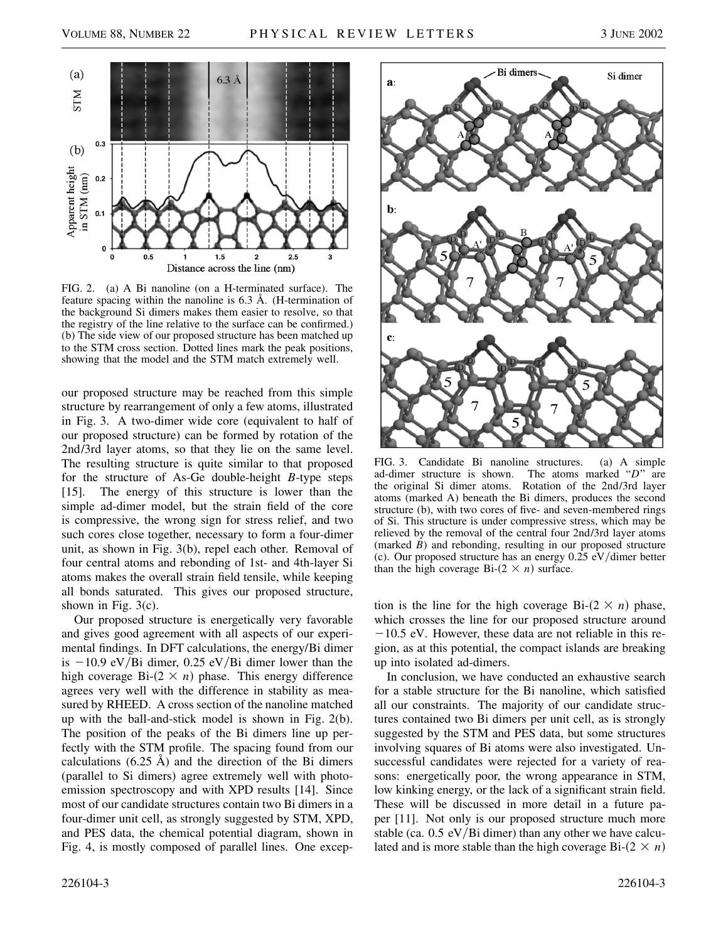

FIG. 2. (a) A Bi nanoline (on a H-terminated surface). The feature spacing within the nanoline is 6.3 Å. (H-termination of the background Si dimers makes them easier to resolve, so that the registry of the line relative to the surface can be confirmed.) (b) The side view of our proposed structure has been matched up to the STM cross section. Dotted lines mark the peak positions, showing that the model and the STM match extremely well.

our proposed structure may be reached from this simple structure by rearrangement of only a few atoms, illustrated in Fig. 3. A two-dimer wide core (equivalent to half of our proposed structure) can be formed by rotation of the 2nd/3rd layer atoms, so that they lie on the same level. The resulting structure is quite similar to that proposed for the structure of As-Ge double-height *B*-type steps [15]. The energy of this structure is lower than the simple ad-dimer model, but the strain field of the core is compressive, the wrong sign for stress relief, and two such cores close together, necessary to form a four-dimer unit, as shown in Fig. 3(b), repel each other. Removal of four central atoms and rebonding of 1st- and 4th-layer Si atoms makes the overall strain field tensile, while keeping all bonds saturated. This gives our proposed structure, shown in Fig. 3(c).

Our proposed structure is energetically very favorable and gives good agreement with all aspects of our experimental findings. In DFT calculations, the energy/Bi dimer is  $-10.9$  eV/Bi dimer, 0.25 eV/Bi dimer lower than the high coverage  $Bi-(2 \times n)$  phase. This energy difference agrees very well with the difference in stability as measured by RHEED. A cross section of the nanoline matched up with the ball-and-stick model is shown in Fig. 2(b). The position of the peaks of the Bi dimers line up perfectly with the STM profile. The spacing found from our calculations  $(6.25 \text{ Å})$  and the direction of the Bi dimers (parallel to Si dimers) agree extremely well with photoemission spectroscopy and with XPD results [14]. Since most of our candidate structures contain two Bi dimers in a four-dimer unit cell, as strongly suggested by STM, XPD, and PES data, the chemical potential diagram, shown in Fig. 4, is mostly composed of parallel lines. One excep-



FIG. 3. Candidate Bi nanoline structures. (a) A simple ad-dimer structure is shown. The atoms marked "*D*" are the original Si dimer atoms. Rotation of the 2nd/3rd layer atoms (marked A) beneath the Bi dimers, produces the second structure (b), with two cores of five- and seven-membered rings of Si. This structure is under compressive stress, which may be relieved by the removal of the central four 2nd/3rd layer atoms (marked *B*) and rebonding, resulting in our proposed structure (c). Our proposed structure has an energy  $0.25 \text{ eV/dimer}$  better than the high coverage Bi- $(2 \times n)$  surface.

tion is the line for the high coverage Bi- $(2 \times n)$  phase, which crosses the line for our proposed structure around  $-10.5$  eV. However, these data are not reliable in this region, as at this potential, the compact islands are breaking up into isolated ad-dimers.

In conclusion, we have conducted an exhaustive search for a stable structure for the Bi nanoline, which satisfied all our constraints. The majority of our candidate structures contained two Bi dimers per unit cell, as is strongly suggested by the STM and PES data, but some structures involving squares of Bi atoms were also investigated. Unsuccessful candidates were rejected for a variety of reasons: energetically poor, the wrong appearance in STM, low kinking energy, or the lack of a significant strain field. These will be discussed in more detail in a future paper [11]. Not only is our proposed structure much more stable (ca.  $0.5 \text{ eV/Bi dimer}$ ) than any other we have calculated and is more stable than the high coverage Bi- $(2 \times n)$